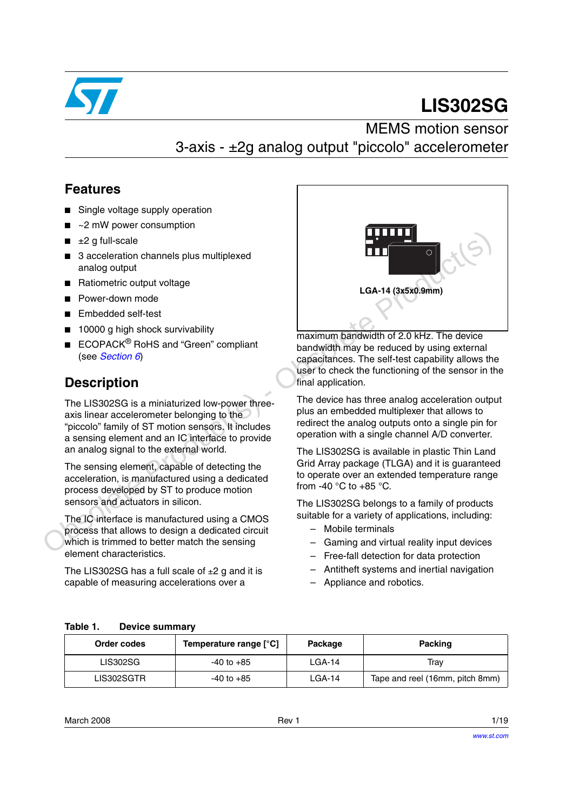

# **LIS302SG**

MEMS motion sensor 3-axis - ±2g analog output "piccolo" accelerometer

### **Features**

- Single voltage supply operation
- $\sim$ 2 mW power consumption
- $±2$  g full-scale
- 3 acceleration channels plus multiplexed analog output
- Ratiometric output voltage
- Power-down mode
- Embedded self-test
- 10000 g high shock survivability
- ECOPACK<sup>®</sup> RoHS and "Green" compliant (see *Section 6*)

## **Description**

The LIS302SG is a miniaturized low-power threeaxis linear accelerometer belonging to the "piccolo" family of ST motion sensors. It includes a sensing element and an IC interface to provide an analog signal to the external world.

The sensing element, capable of detecting the acceleration, is manufactured using a dedicated process developed by ST to produce motion sensors and actuators in silicon.

The IC interface is manufactured using a CMOS process that allows to design a dedicated circuit which is trimmed to better match the sensing element characteristics.

The LIS302SG has a full scale of  $\pm 2$  g and it is capable of measuring accelerations over a



maximum bandwidth of 2.0 kHz. The device bandwidth may be reduced by using external capacitances. The self-test capability allows the user to check the functioning of the sensor in the final application.

The device has three analog acceleration output plus an embedded multiplexer that allows to redirect the analog outputs onto a single pin for operation with a single channel A/D converter.

The LIS302SG is available in plastic Thin Land Grid Array package (TLGA) and it is guaranteed to operate over an extended temperature range from -40  $^{\circ}$ C to +85  $^{\circ}$ C.

The LIS302SG belongs to a family of products suitable for a variety of applications, including:

- Mobile terminals
- Gaming and virtual reality input devices
- Free-fall detection for data protection
- Antitheft systems and inertial navigation
- Appliance and robotics.

<span id="page-0-0"></span>

| <b>Device summary</b> |
|-----------------------|
|                       |

| Order codes | Temperature range [°C] | Package | <b>Packing</b>                  |
|-------------|------------------------|---------|---------------------------------|
| LIS302SG    | -40 to +85             | LGA-14  | Trav                            |
| LIS302SGTR  | -40 to +85             |         | Tape and reel (16mm, pitch 8mm) |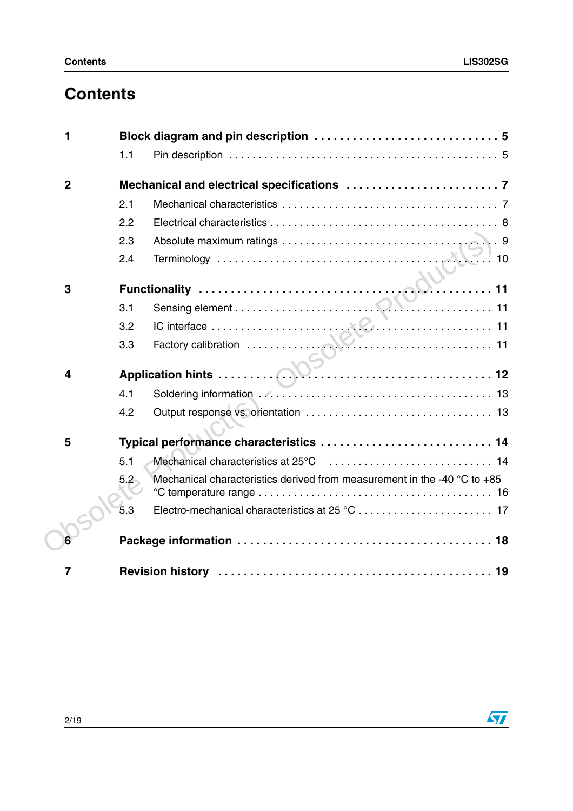# **Contents**

| 1              |                                                                                     |
|----------------|-------------------------------------------------------------------------------------|
|                | 1.1                                                                                 |
| $\overline{2}$ |                                                                                     |
|                | 2.1                                                                                 |
|                | 2.2                                                                                 |
|                | 2.3                                                                                 |
|                | 2.4                                                                                 |
| 3              |                                                                                     |
|                |                                                                                     |
|                | 3.2                                                                                 |
|                | 3.3                                                                                 |
| 4              |                                                                                     |
|                | 4.1                                                                                 |
|                | 4.2                                                                                 |
| 5              |                                                                                     |
|                | 5.1                                                                                 |
|                | Mechanical characteristics derived from measurement in the -40 °C to +85<br>$5.2 -$ |
|                | 5.3                                                                                 |
|                |                                                                                     |
| 7              |                                                                                     |

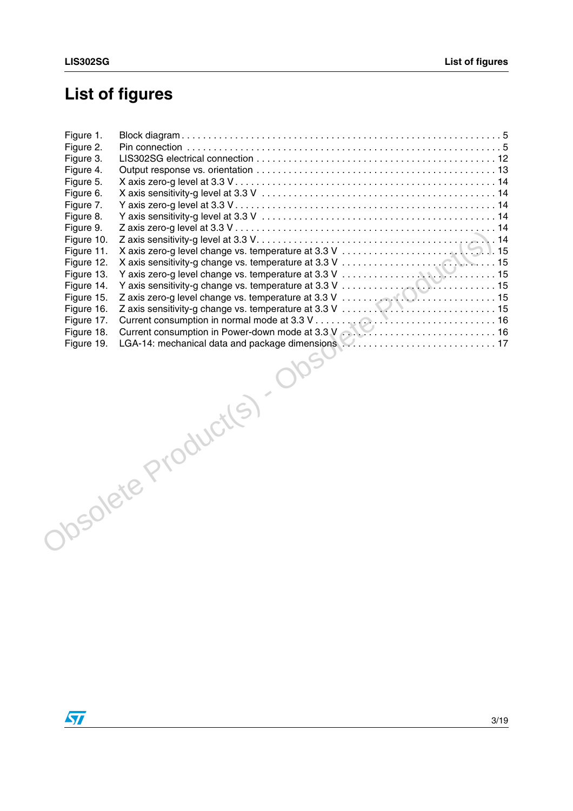# **List of figures**

| Figure 1.  |                                                    |  |
|------------|----------------------------------------------------|--|
| Figure 2.  |                                                    |  |
| Figure 3.  |                                                    |  |
| Figure 4.  |                                                    |  |
| Figure 5.  |                                                    |  |
| Figure 6.  |                                                    |  |
| Figure 7.  |                                                    |  |
| Figure 8.  |                                                    |  |
| Figure 9.  |                                                    |  |
| Figure 10. |                                                    |  |
| Figure 11. |                                                    |  |
| Figure 12. |                                                    |  |
| Figure 13. |                                                    |  |
| Figure 14. |                                                    |  |
| Figure 15. |                                                    |  |
| Figure 16. |                                                    |  |
| Figure 17. |                                                    |  |
| Figure 18. |                                                    |  |
| Figure 19. | LGA-14: mechanical data and package dimensions  17 |  |
|            |                                                    |  |
|            |                                                    |  |
|            | Obsolete Product(s). O                             |  |
|            |                                                    |  |
|            |                                                    |  |
|            |                                                    |  |
|            |                                                    |  |
|            |                                                    |  |
|            |                                                    |  |
|            |                                                    |  |
|            |                                                    |  |
|            |                                                    |  |
|            |                                                    |  |
|            |                                                    |  |

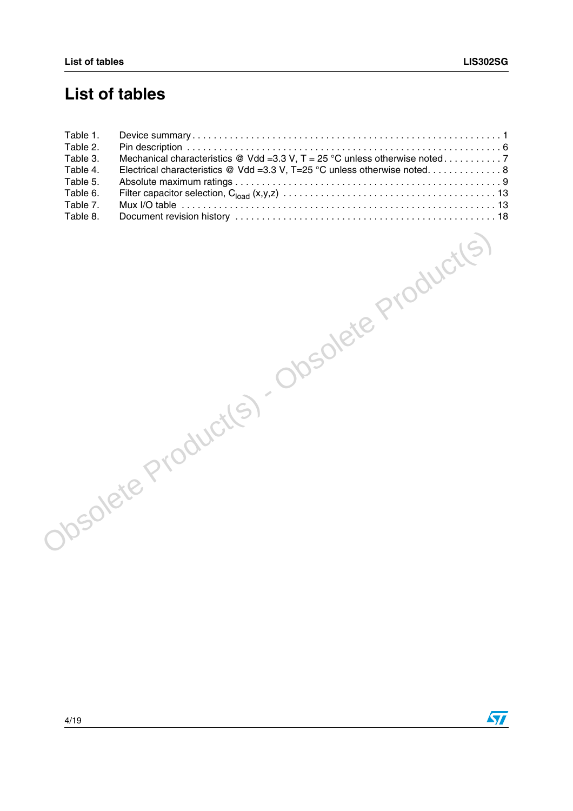## **List of tables**

| Table 1. |                                                                          |
|----------|--------------------------------------------------------------------------|
| Table 2. |                                                                          |
| Table 3. |                                                                          |
| Table 4. | Electrical characteristics @ Vdd =3.3 V, T=25 °C unless otherwise noted8 |
| Table 5. |                                                                          |
| Table 6. |                                                                          |
| Table 7. |                                                                          |
| Table 8. |                                                                          |

Obsolete Product(s) - Obsolete Product(s)

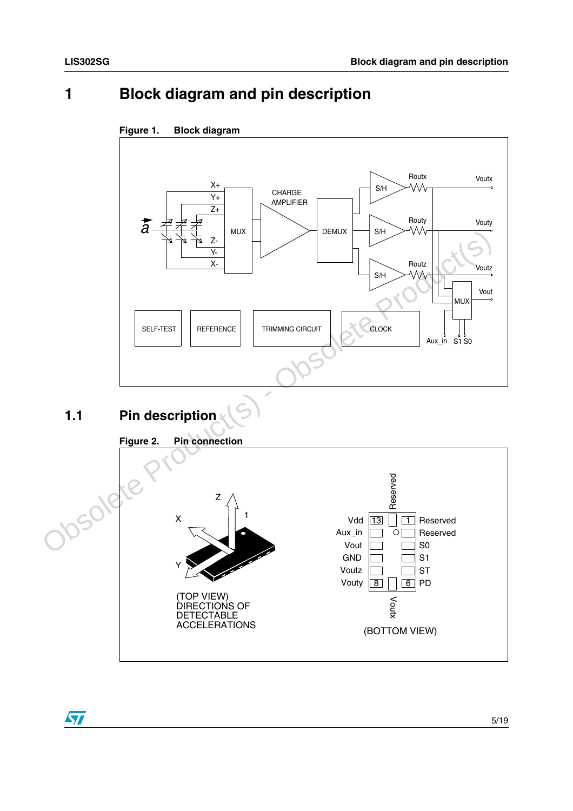## <span id="page-4-0"></span>**1 Block diagram and pin description**



#### <span id="page-4-2"></span>**Figure 1. Block diagram**

## <span id="page-4-3"></span><span id="page-4-1"></span>**1.1 Pin description**



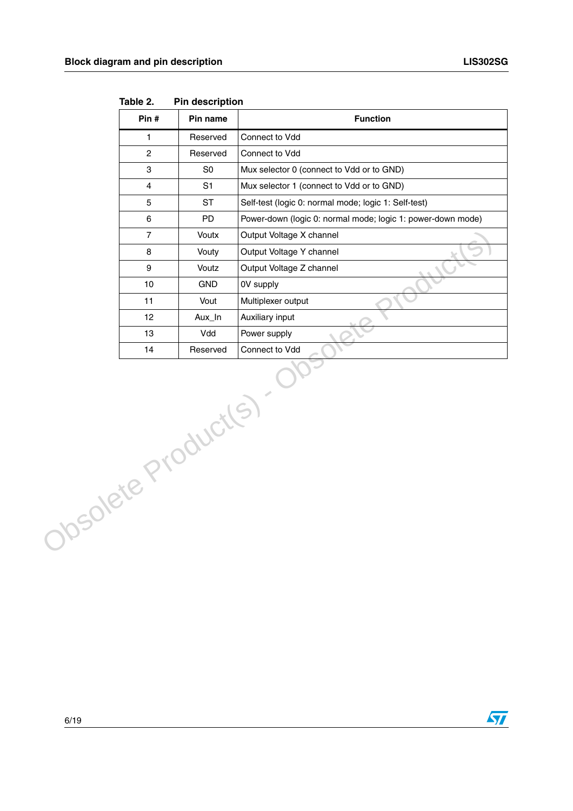|                    | Pin #          | Pin name       | <b>Function</b>                                             |
|--------------------|----------------|----------------|-------------------------------------------------------------|
|                    | $\mathbf{1}$   | Reserved       | Connect to Vdd                                              |
|                    | $\overline{2}$ | Reserved       | Connect to Vdd                                              |
|                    | 3              | SO             | Mux selector 0 (connect to Vdd or to GND)                   |
|                    | 4              | S <sub>1</sub> | Mux selector 1 (connect to Vdd or to GND)                   |
|                    | 5              | <b>ST</b>      | Self-test (logic 0: normal mode; logic 1: Self-test)        |
|                    | $\,6\,$        | PD             | Power-down (logic 0: normal mode; logic 1: power-down mode) |
|                    | $\overline{7}$ | Voutx          | Output Voltage X channel                                    |
|                    | 8              | Vouty          | Output Voltage Y channel                                    |
|                    | 9              | Voutz          | Output Voltage Z channel                                    |
|                    | 10             | <b>GND</b>     | 0V supply                                                   |
|                    | 11             | Vout           | Multiplexer output                                          |
|                    | 12             | Aux_In         | Auxiliary input                                             |
|                    | 13             | Vdd            | Power supply                                                |
|                    | 14             | Reserved       | Connect to Vdd                                              |
| Obsolete Products) |                |                |                                                             |

<span id="page-5-0"></span>**Table 2. Pin description** 

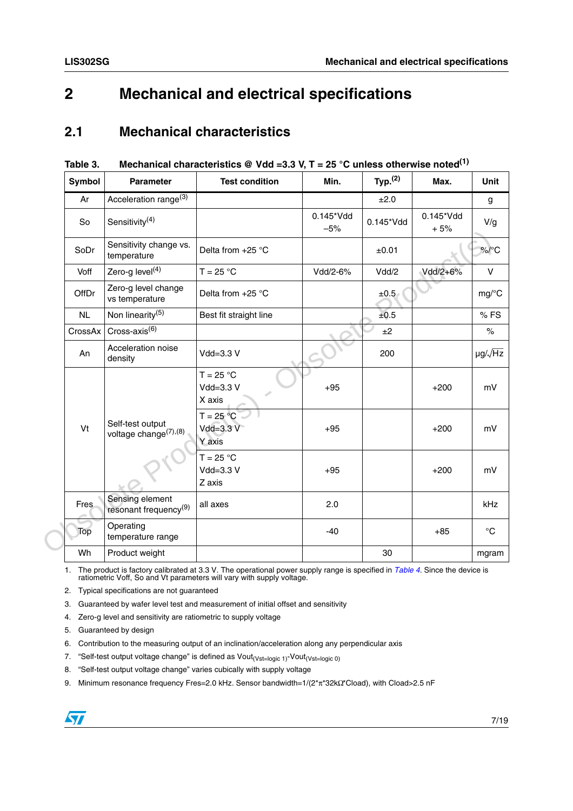## <span id="page-6-0"></span>**2 Mechanical and electrical specifications**

#### <span id="page-6-1"></span>**2.1 Mechanical characteristics**

| Symbol      | <b>Parameter</b>                                      | <b>Test condition</b>                  | Min.               | Typ. <sup>(2)</sup> | Max.               | <b>Unit</b>                  |
|-------------|-------------------------------------------------------|----------------------------------------|--------------------|---------------------|--------------------|------------------------------|
| Ar          | Acceleration range <sup>(3)</sup>                     |                                        |                    | ±2.0                |                    | g                            |
| So          | Sensitivity <sup>(4)</sup>                            |                                        | 0.145*Vdd<br>$-5%$ | 0.145*Vdd           | 0.145*Vdd<br>$+5%$ | V/g                          |
| SoDr        | Sensitivity change vs.<br>temperature                 | Delta from $+25$ °C                    |                    | ±0.01               |                    | $\frac{9}{6}$ <sup>o</sup> C |
| Voff        | Zero-g level $(4)$                                    | $T = 25 °C$                            | Vdd/2-6%           | Vdd/2               | Vdd/2+6%           | $\vee$                       |
| OffDr       | Zero-g level change<br>vs temperature                 | Delta from $+25$ °C                    |                    | ±0.5                |                    | $mg$ /°C                     |
| NL          | Non linearity <sup>(5)</sup>                          | Best fit straight line                 |                    | ±0.5                |                    | %FS                          |
| CrossAx     | Cross-axis $^{(6)}$                                   |                                        |                    | ±2                  |                    | $\%$                         |
| An          | Acceleration noise<br>density                         | Vdd=3.3 V                              |                    | 200                 |                    | $\mu$ g/ $\sqrt{Hz}$         |
|             |                                                       | $T = 25 °C$<br>Vdd=3.3 V<br>X axis     | $+95$              |                     | $+200$             | mV                           |
| Vt          | Self-test output<br>voltage change <sup>(7),(8)</sup> | $T = 25 °C$<br>$Vdd = 3.3 V$<br>Y axis | $+95$              |                     | $+200$             | mV                           |
|             |                                                       | $T = 25 °C$<br>Vdd=3.3 V<br>Z axis     | $+95$              |                     | $+200$             | mV                           |
| <b>Fres</b> | Sensing element<br>resonant frequency <sup>(9)</sup>  | all axes                               | 2.0                |                     |                    | kHz                          |
| Top         | Operating<br>temperature range                        |                                        | $-40$              |                     | $+85$              | $^{\circ}C$                  |
| Wh          | Product weight                                        |                                        |                    | 30                  |                    | mgram                        |

#### <span id="page-6-2"></span>**Table 3. Mechanical characteristics @ Vdd =3.3 V, T = 25 °C unless otherwise noted(1)**

1. The product is factory calibrated at 3.3 V. The operational power supply range is specified in *[Table 4](#page-7-1)*. Since the device is ratiometric Voff, So and Vt parameters will vary with supply voltage.

- 2. Typical specifications are not guaranteed
- 3. Guaranteed by wafer level test and measurement of initial offset and sensitivity
- 4. Zero-g level and sensitivity are ratiometric to supply voltage
- 5. Guaranteed by design
- 6. Contribution to the measuring output of an inclination/acceleration along any perpendicular axis
- 7. "Self-test output voltage change" is defined as Vout<sub>(Vst=logic 1)</sub>-Vout<sub>(Vst=logic 0)</sub>
- 8. "Self-test output voltage change" varies cubically with supply voltage
- 9. Minimum resonance frequency Fres=2.0 kHz. Sensor bandwidth=1/(2\*π\*32kΩ\*Cload), with Cload>2.5 nF

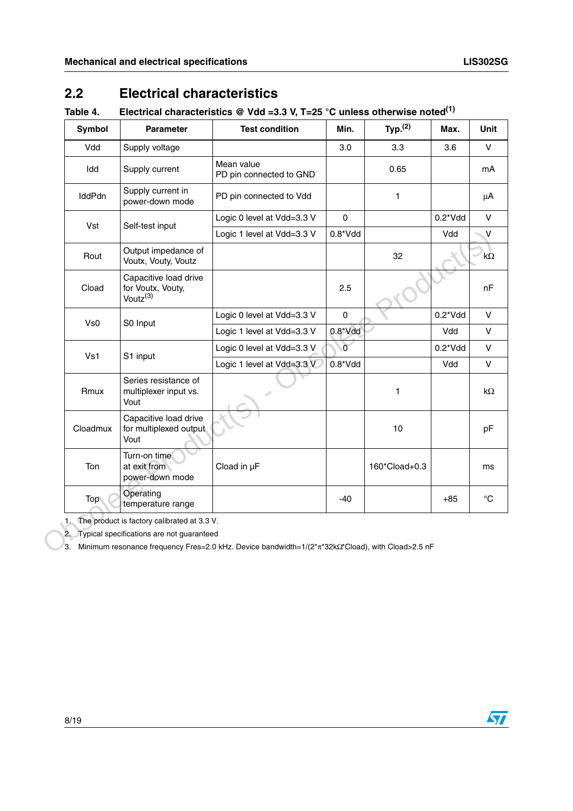## <span id="page-7-0"></span>**2.2 Electrical characteristics**

### <span id="page-7-1"></span>**Table 4. Electrical characteristics @ Vdd =3.3 V, T=25 °C unless otherwise noted(1)**

|                                                                    | <b>Test condition</b>                   | Min.         | Typ. <sup>(2)</sup> | Max.      | Unit              |
|--------------------------------------------------------------------|-----------------------------------------|--------------|---------------------|-----------|-------------------|
| Supply voltage                                                     |                                         | 3.0          | 3.3                 | 3.6       | $\mathsf{V}$      |
| Supply current                                                     | Mean value<br>PD pin connected to GND   |              | 0.65                |           | mA                |
| Supply current in<br>power-down mode                               | PD pin connected to Vdd                 |              | 1                   |           | μA                |
|                                                                    | Logic 0 level at Vdd=3.3 V              | $\pmb{0}$    |                     | $0.2*Vdd$ | $\vee$            |
|                                                                    | Logic 1 level at Vdd=3.3 V              | $0.8*Vdd$    |                     | Vdd       | V                 |
| Output impedance of<br>Voutx, Vouty, Voutz                         |                                         |              | 32                  |           | kΩ                |
| Capacitive load drive<br>for Voutx, Vouty,<br>Voutz <sup>(3)</sup> |                                         | 2.5          |                     |           | nF                |
|                                                                    | Logic 0 level at Vdd=3.3 V              | $\pmb{0}$    |                     | $0.2*Vdd$ | v                 |
|                                                                    | Logic 1 level at Vdd=3.3 V              | $0.8^*V$ dd  |                     | Vdd       | V                 |
|                                                                    | Logic 0 level at Vdd=3.3 V              | $\mathsf{o}$ |                     | $0.2*Vdd$ | $\mathsf{V}$      |
|                                                                    | Logic 1 level at Vdd=3.3 V              | $0.8*Vdd$    |                     | Vdd       | $\mathsf{V}$      |
| Series resistance of<br>multiplexer input vs.<br>Vout              |                                         |              | $\mathbf{1}$        |           | $k\Omega$         |
| Capacitive load drive<br>for multiplexed output<br>Vout            |                                         |              | 10                  |           | pF                |
| Turn-on time<br>at exit from<br>power-down mode                    | Cload in µF                             |              | 160*Cload+0.3       |           | ms                |
| Operating<br>temperature range                                     |                                         | $-40$        |                     | $+85$     | $^{\circ}{\rm C}$ |
|                                                                    | Self-test input<br>S0 Input<br>S1 input |              |                     |           |                   |

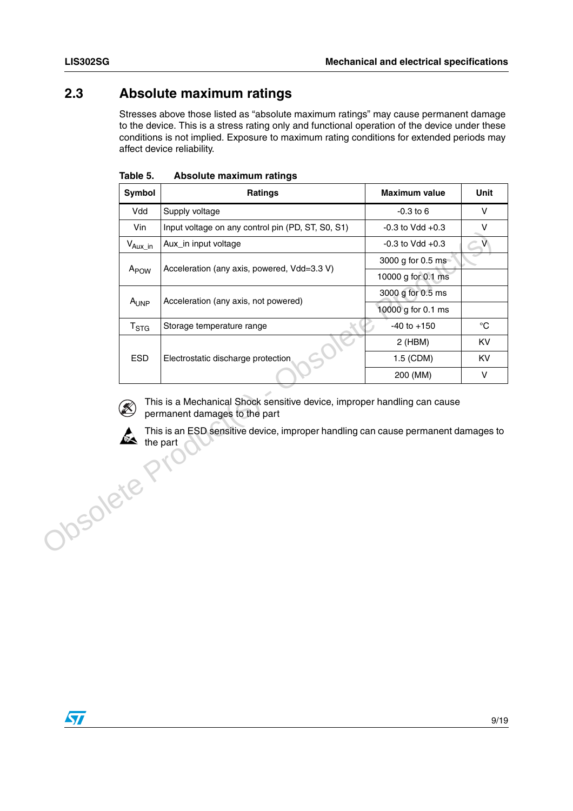### <span id="page-8-0"></span>**2.3 Absolute maximum ratings**

Stresses above those listed as "absolute maximum ratings" may cause permanent damage to the device. This is a stress rating only and functional operation of the device under these conditions is not implied. Exposure to maximum rating conditions for extended periods may affect device reliability.

| <b>Symbol</b>    | <b>Ratings</b>                                    | <b>Maximum value</b> | Unit |
|------------------|---------------------------------------------------|----------------------|------|
| Vdd              | Supply voltage                                    | $-0.3$ to 6          | v    |
| Vin.             | Input voltage on any control pin (PD, ST, S0, S1) | $-0.3$ to Vdd $+0.3$ | v    |
| $V_{Aux\_in}$    | Aux in input voltage                              | $-0.3$ to Vdd $+0.3$ | v    |
|                  | Acceleration (any axis, powered, Vdd=3.3 V)       | 3000 g for 0.5 ms    |      |
| A <sub>POW</sub> |                                                   | 10000 g for 0.1 ms   |      |
|                  |                                                   | 3000 g for 0.5 ms    |      |
| A <sub>UNP</sub> | Acceleration (any axis, not powered)              | 10000 g for 0.1 ms   |      |
| $T_{\rm STG}$    | Storage temperature range                         | $-40$ to $+150$      | °C   |
|                  |                                                   | $2$ (HBM)            | KV   |
| <b>ESD</b>       | Electrostatic discharge protection                | 1.5 (CDM)            | KV   |
|                  |                                                   | 200 (MM)             | v    |

<span id="page-8-1"></span>**Table 5. Absolute maximum ratings**



This is a Mechanical Shock sensitive device, improper handling can cause permanent damages to the part

This is an ESD sensitive device, improper handling can cause permanent damages to the part Josolete Pr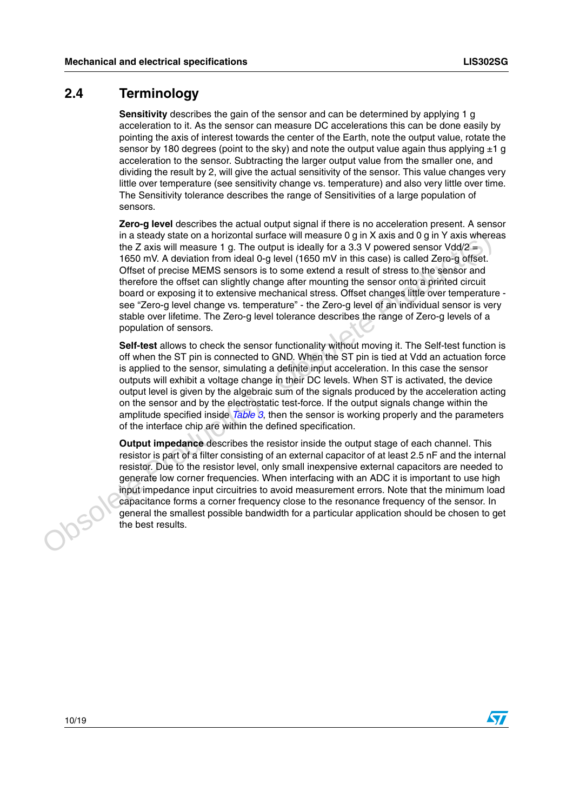#### <span id="page-9-0"></span>**2.4 Terminology**

**Sensitivity** describes the gain of the sensor and can be determined by applying 1 g acceleration to it. As the sensor can measure DC accelerations this can be done easily by pointing the axis of interest towards the center of the Earth, note the output value, rotate the sensor by 180 degrees (point to the sky) and note the output value again thus applying  $\pm 1$  g acceleration to the sensor. Subtracting the larger output value from the smaller one, and dividing the result by 2, will give the actual sensitivity of the sensor. This value changes very little over temperature (see sensitivity change vs. temperature) and also very little over time. The Sensitivity tolerance describes the range of Sensitivities of a large population of sensors.

**Zero-g level** describes the actual output signal if there is no acceleration present. A sensor in a steady state on a horizontal surface will measure 0 g in X axis and 0 g in Y axis whereas the Z axis will measure 1 g. The output is ideally for a 3.3 V powered sensor  $Vdd/2 =$ 1650 mV. A deviation from ideal 0-g level (1650 mV in this case) is called Zero-g offset. Offset of precise MEMS sensors is to some extend a result of stress to the sensor and therefore the offset can slightly change after mounting the sensor onto a printed circuit board or exposing it to extensive mechanical stress. Offset changes little over temperature see "Zero-g level change vs. temperature" - the Zero-g level of an individual sensor is very stable over lifetime. The Zero-g level tolerance describes the range of Zero-g levels of a population of sensors. in a steady state on a horizontal surface will measure 0 g in X axis and 0 g in Y axis where<br>the DaX six will measure 1 g. The output is ideally for a 3.3 V powered sensor Vdd/2 = 1650 mV. A deviation from ideal 0-g level

**Self-test** allows to check the sensor functionality without moving it. The Self-test function is off when the ST pin is connected to GND. When the ST pin is tied at Vdd an actuation force is applied to the sensor, simulating a definite input acceleration. In this case the sensor outputs will exhibit a voltage change in their DC levels. When ST is activated, the device output level is given by the algebraic sum of the signals produced by the acceleration acting on the sensor and by the electrostatic test-force. If the output signals change within the amplitude specified inside *Table 3*, then the sensor is working properly and the parameters of the interface chip are within the defined specification.

**Output impedance** describes the resistor inside the output stage of each channel. This resistor is part of a filter consisting of an external capacitor of at least 2.5 nF and the internal resistor. Due to the resistor level, only small inexpensive external capacitors are needed to generate low corner frequencies. When interfacing with an ADC it is important to use high input impedance input circuitries to avoid measurement errors. Note that the minimum load capacitance forms a corner frequency close to the resonance frequency of the sensor. In general the smallest possible bandwidth for a particular application should be chosen to get the best results.



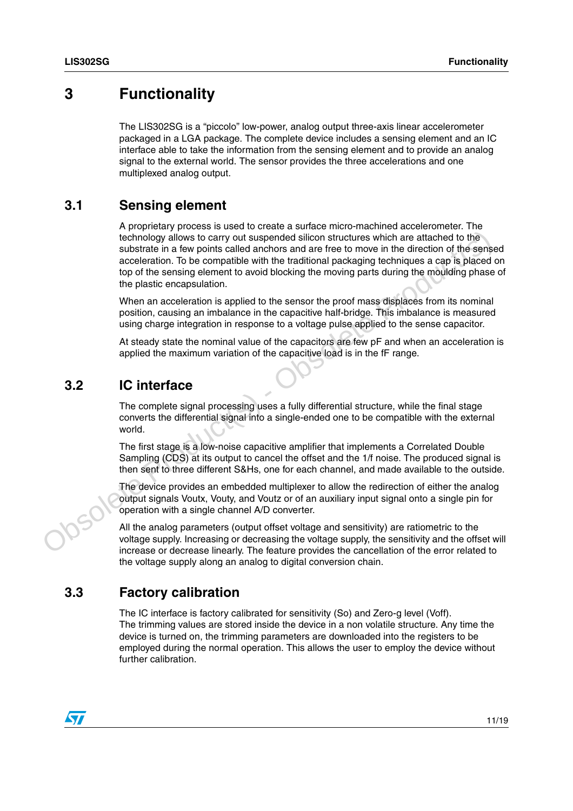## <span id="page-10-0"></span>**3 Functionality**

The LIS302SG is a "piccolo" low-power, analog output three-axis linear accelerometer packaged in a LGA package. The complete device includes a sensing element and an IC interface able to take the information from the sensing element and to provide an analog signal to the external world. The sensor provides the three accelerations and one multiplexed analog output.

#### <span id="page-10-1"></span>**3.1 Sensing element**

A proprietary process is used to create a surface micro-machined accelerometer. The technology allows to carry out suspended silicon structures which are attached to the substrate in a few points called anchors and are free to move in the direction of the sensed acceleration. To be compatible with the traditional packaging techniques a cap is placed on top of the sensing element to avoid blocking the moving parts during the moulding phase of the plastic encapsulation. technology aliable to carry out taspended esticlent structures which are attached to the<br>substrate in a few points called anchors and are free to move in the direction of the sense<br>eccleration. To be compatible with the tr

When an acceleration is applied to the sensor the proof mass displaces from its nominal position, causing an imbalance in the capacitive half-bridge. This imbalance is measured using charge integration in response to a voltage pulse applied to the sense capacitor.

At steady state the nominal value of the capacitors are few pF and when an acceleration is applied the maximum variation of the capacitive load is in the fF range.

#### <span id="page-10-2"></span>**3.2 IC interface**

The complete signal processing uses a fully differential structure, while the final stage converts the differential signal into a single-ended one to be compatible with the external world.

The first stage is a low-noise capacitive amplifier that implements a Correlated Double Sampling (CDS) at its output to cancel the offset and the 1/f noise. The produced signal is then sent to three different S&Hs, one for each channel, and made available to the outside.

The device provides an embedded multiplexer to allow the redirection of either the analog output signals Voutx, Vouty, and Voutz or of an auxiliary input signal onto a single pin for operation with a single channel A/D converter.

All the analog parameters (output offset voltage and sensitivity) are ratiometric to the voltage supply. Increasing or decreasing the voltage supply, the sensitivity and the offset will increase or decrease linearly. The feature provides the cancellation of the error related to the voltage supply along an analog to digital conversion chain.

### <span id="page-10-3"></span>**3.3 Factory calibration**

The IC interface is factory calibrated for sensitivity (So) and Zero-g level (Voff). The trimming values are stored inside the device in a non volatile structure. Any time the device is turned on, the trimming parameters are downloaded into the registers to be employed during the normal operation. This allows the user to employ the device without further calibration.

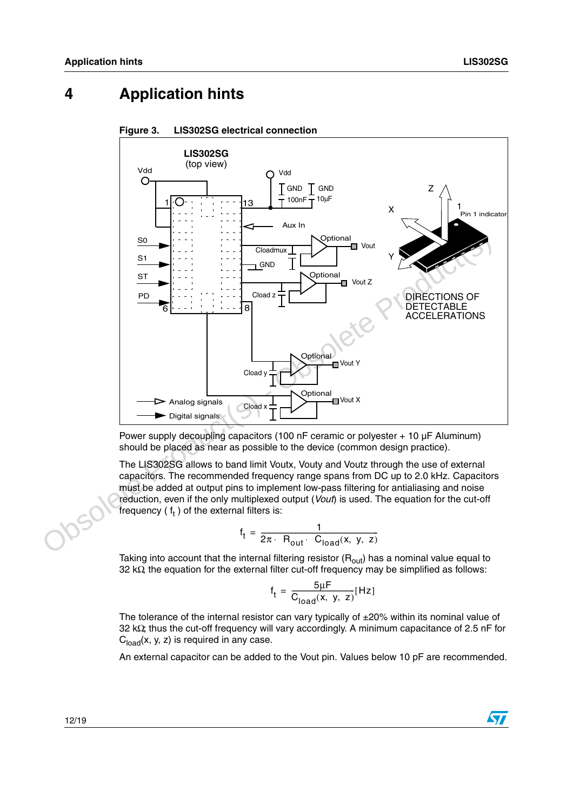## <span id="page-11-0"></span>**4 Application hints**



#### <span id="page-11-1"></span>**Figure 3. LIS302SG electrical connection**

Power supply decoupling capacitors (100 nF ceramic or polyester + 10 µF Aluminum) should be placed as near as possible to the device (common design practice).

The LIS302SG allows to band limit Voutx, Vouty and Voutz through the use of external capacitors. The recommended frequency range spans from DC up to 2.0 kHz. Capacitors must be added at output pins to implement low-pass filtering for antialiasing and noise reduction, even if the only multiplexed output (*Vout*) is used. The equation for the cut-off frequency (  $\mathfrak{f}_\mathfrak{t}$  ) of the external filters is:

$$
f_t = \frac{1}{2\pi \cdot R_{out} \cdot C_{load}(x, y, z)}
$$

Taking into account that the internal filtering resistor  $(R<sub>out</sub>)$  has a nominal value equal to 32 kΩ, the equation for the external filter cut-off frequency may be simplified as follows:

$$
f_t = \frac{5\mu F}{C_{\text{load}}(x, y, z)} [\text{Hz}]
$$

The tolerance of the internal resistor can vary typically of  $\pm 20\%$  within its nominal value of 32 kΩ; thus the cut-off frequency will vary accordingly. A minimum capacitance of 2.5 nF for  $C<sub>load</sub>(x, y, z)$  is required in any case.

An external capacitor can be added to the Vout pin. Values below 10 pF are recommended.

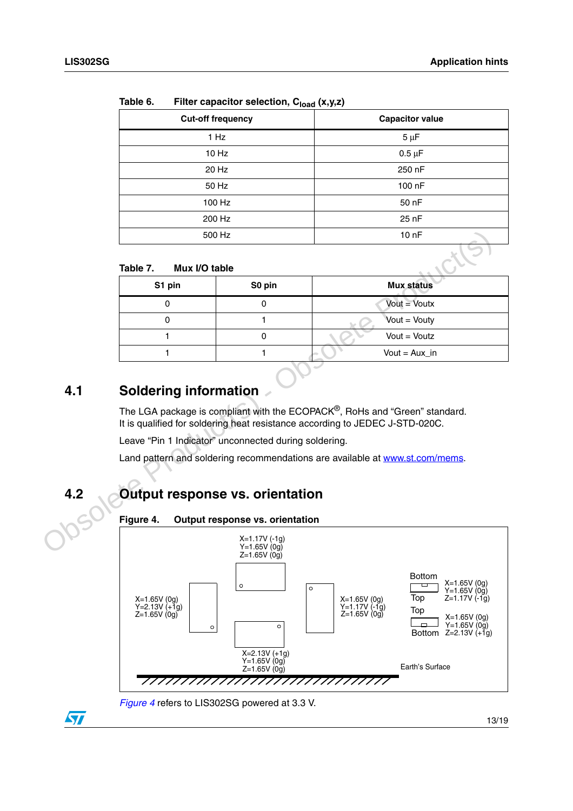| <br>$\frac{1}{1}$ capability constructs $\frac{1}{10}$ or $\frac{1}{100}$ |                        |
|---------------------------------------------------------------------------|------------------------|
| <b>Cut-off frequency</b>                                                  | <b>Capacitor value</b> |
| 1 Hz                                                                      | $5 \mu F$              |
| 10 Hz                                                                     | $0.5 \mu F$            |
| 20 Hz                                                                     | 250 nF                 |
| 50 Hz                                                                     | 100 nF                 |
| 100 Hz                                                                    | 50 nF                  |
| 200 Hz                                                                    | 25 nF                  |
| 500 Hz                                                                    | 10 <sub>nP</sub>       |
|                                                                           |                        |

<span id="page-12-3"></span>**Table 6. Filter capacitor selection, Cload (x,y,z)**

#### <span id="page-12-4"></span>**Table 7. Mux I/O table**

|     |                              | 500 Hz                                                | 10 nF                                                                                   |
|-----|------------------------------|-------------------------------------------------------|-----------------------------------------------------------------------------------------|
|     | Table 7.<br>Mux I/O table    |                                                       |                                                                                         |
|     | S1 pin                       | S0 pin                                                | <b>Mux status</b>                                                                       |
|     | 0                            | 0                                                     | $Vout = Voutx$                                                                          |
|     | 0                            | 1                                                     | Vout = Vouty                                                                            |
|     | 1                            | $\mathbf 0$                                           | $Vout = Voutz$                                                                          |
|     | 1                            | 1                                                     | Vout = $Aux_in$                                                                         |
| 4.1 | <b>Soldering information</b> |                                                       | The LGA package is compliant with the ECOPACK <sup>®</sup> , RoHs and "Green" standard. |
|     |                              | Leave "Pin 1 Indicator" unconnected during soldering. | It is qualified for soldering heat resistance according to JEDEC J-STD-020C.            |
|     |                              |                                                       | Land pattern and soldering recommendations are available at www.st.com/mems.            |
| 4.2 |                              | <b>Output response vs. orientation</b>                |                                                                                         |
|     | Figure 4.                    | Output response vs. orientation                       |                                                                                         |
|     |                              | $X=1.17V( -1q)$<br>$Y=1.65V(0q)$<br>$Z=1.65V(0q)$     |                                                                                         |
|     |                              |                                                       | <b>Bottom</b><br>$V = C E V / (Q_{\alpha})$                                             |

## <span id="page-12-0"></span>**4.1 Soldering information**

## <span id="page-12-1"></span>**4.2 Output response vs. orientation**

<span id="page-12-2"></span>**Figure 4. Output response vs. orientation**



*[Figure 4](#page-12-2)* refers to LIS302SG powered at 3.3 V.

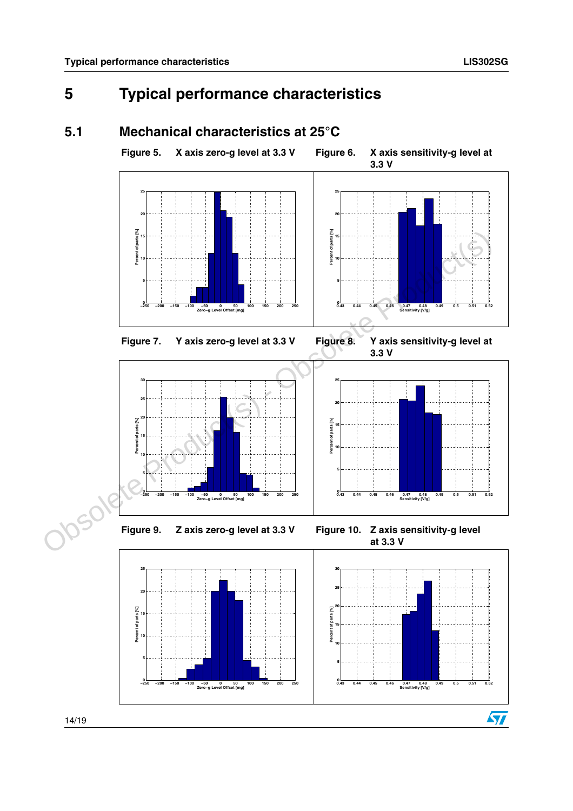# <span id="page-13-0"></span>**5 Typical performance characteristics**

<span id="page-13-3"></span><span id="page-13-2"></span><span id="page-13-1"></span>**5.1 Mechanical characteristics at 25°C** 

#### **Figure 5. X axis zero-g level at 3.3 V Figure 6. X axis sensitivity-g level at 3.3 V**Figure 7. Y axis zero-g level at 3.3 V Figure 8. Y axis sensitivity-g level at **3.3 V−250 −200 −150 −100 −50 <sup>0</sup> <sup>50</sup> <sup>100</sup> <sup>150</sup> <sup>200</sup> <sup>250</sup> <sup>0</sup> Zero−g Level Offset [mg] 5 10 15 20 25 Percent of parts [%] 0.43 0.44 0.45 0.46 0.47 0.48 0.49 0.5 0.51 0.52 <sup>0</sup> Sensitivity [V/g] 5 10 15 20 25 Percent of parts [%] 5 10 15 20 25 30 Percent of parts [%] 5 10 15 20 25 Percent of parts [%]** Figure 7. Yaxis zero-g level at 3.3 V<br>
Figure 7. Yaxis zero-g level at 3.3 V<br>
Figure 10. Zaxis sensitivity-g level at<br>
Production of the state Production of the state Production of the state Production of the state Produc

<span id="page-13-4"></span>**−250 −200 −150 −100 −50 <sup>0</sup> <sup>50</sup> <sup>100</sup> <sup>150</sup> <sup>200</sup> <sup>250</sup> <sup>0</sup> Zero−g Level Offset [mg]**

<span id="page-13-6"></span>

<span id="page-13-7"></span><span id="page-13-5"></span>**0.43 0.44 0.45 0.46 0.47 0.48 0.49 0.5 0.51 0.52 <sup>0</sup> Sensitivity [V/g]**

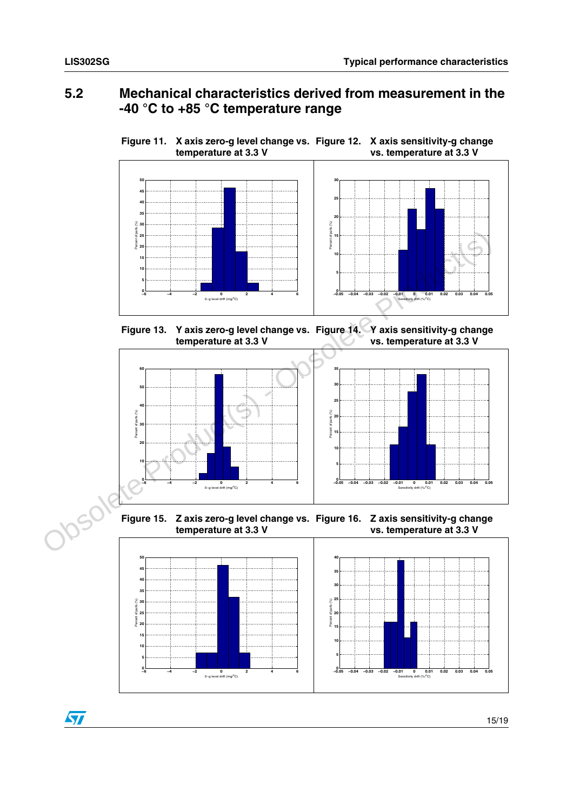#### <span id="page-14-0"></span>**5.2 Mechanical characteristics derived from measurement in the -40 °C to +85 °C temperature range**

<span id="page-14-2"></span><span id="page-14-1"></span>**Figure 11. X axis zero-g level change vs. Figure 12. X axis sensitivity-g change temperature at 3.3 V vs. temperature at 3.3 V**



<span id="page-14-4"></span><span id="page-14-3"></span>**Figure 13. Y axis zero-g level change vs. Figure 14. Y axis sensitivity-g change temperature at 3.3 V vs. temperature at 3.3 V**



<span id="page-14-5"></span>**Figure 15. Z axis zero-g level change vs. Figure 16. Z axis sensitivity-g change temperature at 3.3 V vs. temperature at 3.3 V**

<span id="page-14-6"></span>

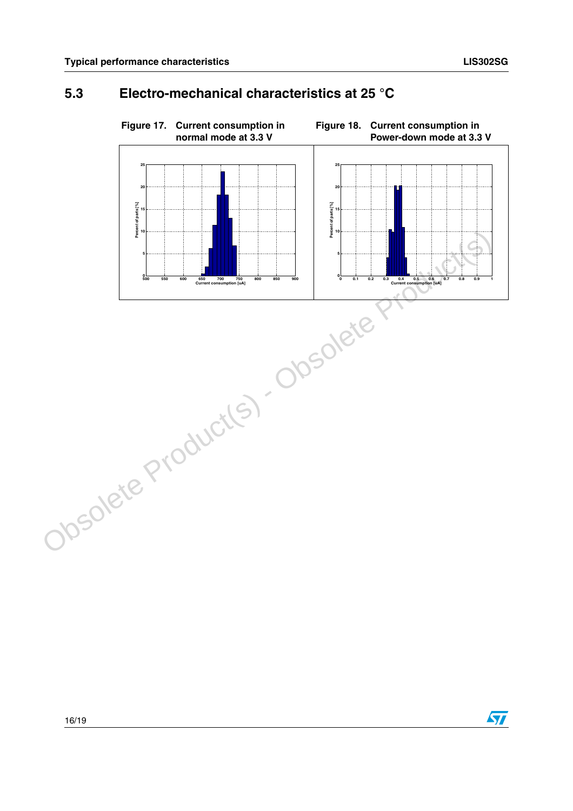## <span id="page-15-2"></span><span id="page-15-1"></span><span id="page-15-0"></span>**5.3 Electro-mechanical characteristics at 25 °C**



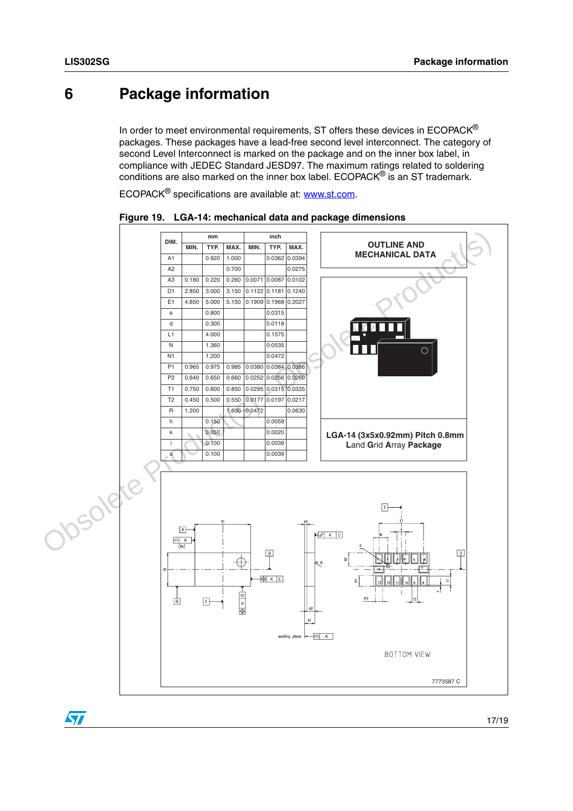## <span id="page-16-0"></span>**6 Package information**

In order to meet environmental requirements, ST offers these devices in  $ECOPACK^{\circledcirc}$ packages. These packages have a lead-free second level interconnect. The category of second Level Interconnect is marked on the package and on the inner box label, in compliance with JEDEC Standard JESD97. The maximum ratings related to soldering conditions are also marked on the inner box label. ECOPACK® is an ST trademark.

ECOPACK<sup>®</sup> specifications are available at: www.st.com.



<span id="page-16-1"></span>**Figure 19. LGA-14: mechanical data and package dimensions**

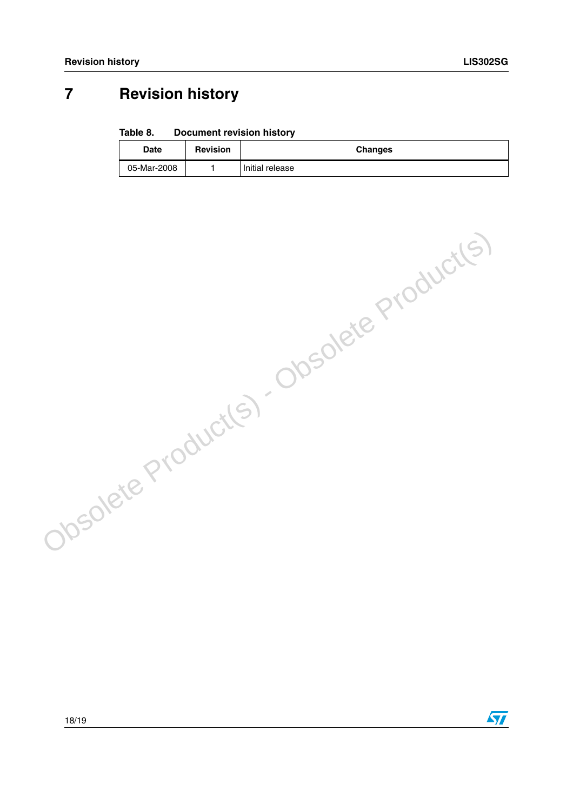## <span id="page-17-0"></span>**7 Revision history**

#### <span id="page-17-1"></span>Table 8. **Document revision history**

| Date        | <b>Revision</b> | <b>Changes</b>  |
|-------------|-----------------|-----------------|
| 05-Mar-2008 |                 | Initial release |

Obsolete Product(s) - Obsolete Product(s)